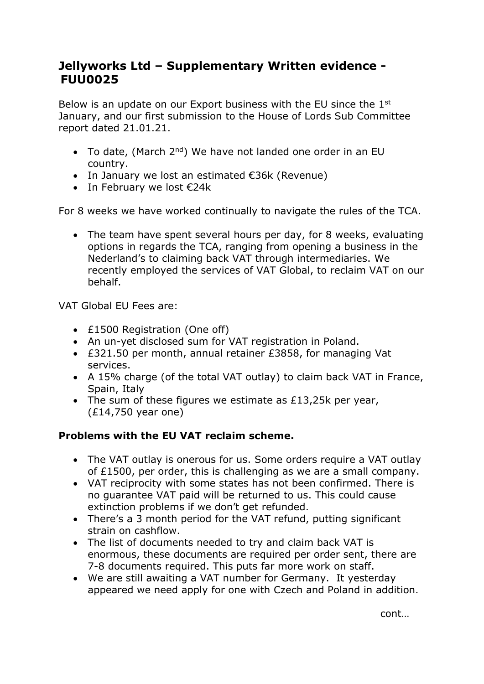## **Jellyworks Ltd – Supplementary Written evidence -  FUU0025**

Below is an update on our Export business with the EU since the 1<sup>st</sup> January, and our first submission to the House of Lords Sub Committee report dated 21.01.21.

- To date, (March 2<sup>nd</sup>) We have not landed one order in an EU country.
- $\bullet$  In January we lost an estimated €36k (Revenue)
- In February we lost  $E24k$

For 8 weeks we have worked continually to navigate the rules of the TCA.

 The team have spent several hours per day, for 8 weeks, evaluating options in regards the TCA, ranging from opening a business in the Nederland's to claiming back VAT through intermediaries. We recently employed the services of VAT Global, to reclaim VAT on our behalf.

VAT Global EU Fees are:

- £1500 Registration (One off)
- An un-yet disclosed sum for VAT registration in Poland.
- £321.50 per month, annual retainer £3858, for managing Vat services.
- A 15% charge (of the total VAT outlay) to claim back VAT in France, Spain, Italy
- The sum of these figures we estimate as £13,25k per year, (£14,750 year one)

## **Problems with the EU VAT reclaim scheme.**

- The VAT outlay is onerous for us. Some orders require a VAT outlay of £1500, per order, this is challenging as we are a small company.
- VAT reciprocity with some states has not been confirmed. There is no guarantee VAT paid will be returned to us. This could cause extinction problems if we don't get refunded.
- There's a 3 month period for the VAT refund, putting significant strain on cashflow.
- The list of documents needed to try and claim back VAT is enormous, these documents are required per order sent, there are 7-8 documents required. This puts far more work on staff.
- We are still awaiting a VAT number for Germany. It yesterday appeared we need apply for one with Czech and Poland in addition.